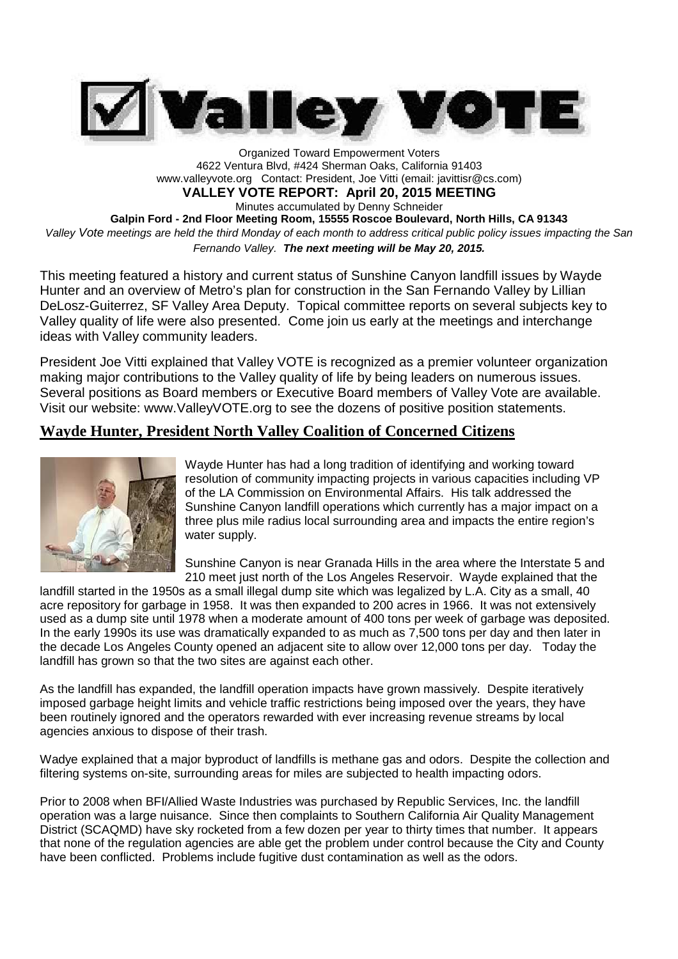

Organized Toward Empowerment Voters 4622 Ventura Blvd, #424 Sherman Oaks, California 91403 www.valleyvote.org Contact: President, Joe Vitti (email: javittisr@cs.com) **VALLEY VOTE REPORT: April 20, 2015 MEETING** Minutes accumulated by Denny Schneider **Galpin Ford - 2nd Floor Meeting Room, 15555 Roscoe Boulevard, North Hills, CA 91343** *Valley Vote meetings are held the third Monday of each month to address critical public policy issues impacting the San Fernando Valley. The next meeting will be May 20, 2015.*

This meeting featured a history and current status of Sunshine Canyon landfill issues by Wayde Hunter and an overview of Metro's plan for construction in the San Fernando Valley by Lillian DeLosz-Guiterrez, SF Valley Area Deputy. Topical committee reports on several subjects key to Valley quality of life were also presented. Come join us early at the meetings and interchange ideas with Valley community leaders.

President Joe Vitti explained that Valley VOTE is recognized as a premier volunteer organization making major contributions to the Valley quality of life by being leaders on numerous issues. Several positions as Board members or Executive Board members of Valley Vote are available. Visit our website: www.ValleyVOTE.org to see the dozens of positive position statements.

## **Wayde Hunter, President North Valley Coalition of Concerned Citizens**



Wayde Hunter has had a long tradition of identifying and working toward resolution of community impacting projects in various capacities including VP of the LA Commission on Environmental Affairs. His talk addressed the Sunshine Canyon landfill operations which currently has a major impact on a three plus mile radius local surrounding area and impacts the entire region's water supply.

Sunshine Canyon is near Granada Hills in the area where the Interstate 5 and 210 meet just north of the Los Angeles Reservoir. Wayde explained that the

landfill started in the 1950s as a small illegal dump site which was legalized by L.A. City as a small, 40 acre repository for garbage in 1958. It was then expanded to 200 acres in 1966. It was not extensively used as a dump site until 1978 when a moderate amount of 400 tons per week of garbage was deposited. In the early 1990s its use was dramatically expanded to as much as 7,500 tons per day and then later in the decade Los Angeles County opened an adjacent site to allow over 12,000 tons per day. Today the landfill has grown so that the two sites are against each other.

As the landfill has expanded, the landfill operation impacts have grown massively. Despite iteratively imposed garbage height limits and vehicle traffic restrictions being imposed over the years, they have been routinely ignored and the operators rewarded with ever increasing revenue streams by local agencies anxious to dispose of their trash.

Wadye explained that a major byproduct of landfills is methane gas and odors. Despite the collection and filtering systems on-site, surrounding areas for miles are subjected to health impacting odors.

Prior to 2008 when BFI/Allied Waste Industries was purchased by Republic Services, Inc. the landfill operation was a large nuisance. Since then complaints to Southern California Air Quality Management District (SCAQMD) have sky rocketed from a few dozen per year to thirty times that number. It appears that none of the regulation agencies are able get the problem under control because the City and County have been conflicted. Problems include fugitive dust contamination as well as the odors.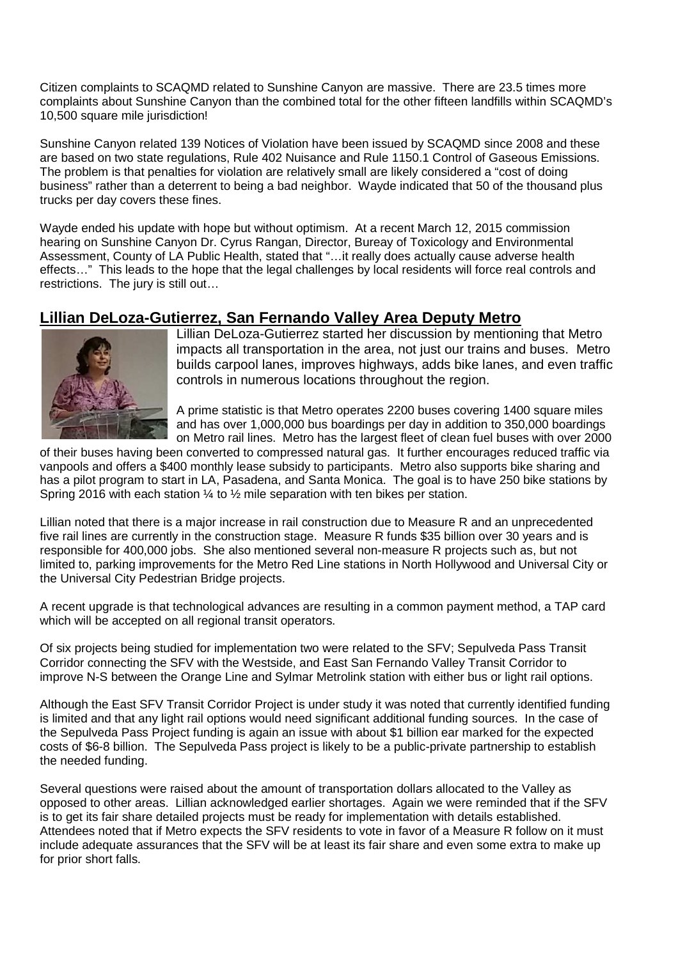Citizen complaints to SCAQMD related to Sunshine Canyon are massive. There are 23.5 times more complaints about Sunshine Canyon than the combined total for the other fifteen landfills within SCAQMD's 10,500 square mile jurisdiction!

Sunshine Canyon related 139 Notices of Violation have been issued by SCAQMD since 2008 and these are based on two state regulations, Rule 402 Nuisance and Rule 1150.1 Control of Gaseous Emissions. The problem is that penalties for violation are relatively small are likely considered a "cost of doing business" rather than a deterrent to being a bad neighbor. Wayde indicated that 50 of the thousand plus trucks per day covers these fines.

Wayde ended his update with hope but without optimism. At a recent March 12, 2015 commission hearing on Sunshine Canyon Dr. Cyrus Rangan, Director, Bureay of Toxicology and Environmental Assessment, County of LA Public Health, stated that "…it really does actually cause adverse health effects…" This leads to the hope that the legal challenges by local residents will force real controls and restrictions. The jury is still out…

## **Lillian DeLoza-Gutierrez, San Fernando Valley Area Deputy Metro**



Lillian DeLoza-Gutierrez started her discussion by mentioning that Metro impacts all transportation in the area, not just our trains and buses. Metro builds carpool lanes, improves highways, adds bike lanes, and even traffic controls in numerous locations throughout the region.

A prime statistic is that Metro operates 2200 buses covering 1400 square miles and has over 1,000,000 bus boardings per day in addition to 350,000 boardings on Metro rail lines. Metro has the largest fleet of clean fuel buses with over 2000

of their buses having been converted to compressed natural gas. It further encourages reduced traffic via vanpools and offers a \$400 monthly lease subsidy to participants. Metro also supports bike sharing and has a pilot program to start in LA, Pasadena, and Santa Monica. The goal is to have 250 bike stations by Spring 2016 with each station  $\frac{1}{4}$  to  $\frac{1}{2}$  mile separation with ten bikes per station.

Lillian noted that there is a major increase in rail construction due to Measure R and an unprecedented five rail lines are currently in the construction stage. Measure R funds \$35 billion over 30 years and is responsible for 400,000 jobs. She also mentioned several non-measure R projects such as, but not limited to, parking improvements for the Metro Red Line stations in North Hollywood and Universal City or the Universal City Pedestrian Bridge projects.

A recent upgrade is that technological advances are resulting in a common payment method, a TAP card which will be accepted on all regional transit operators.

Of six projects being studied for implementation two were related to the SFV; Sepulveda Pass Transit Corridor connecting the SFV with the Westside, and East San Fernando Valley Transit Corridor to improve N-S between the Orange Line and Sylmar Metrolink station with either bus or light rail options.

Although the East SFV Transit Corridor Project is under study it was noted that currently identified funding is limited and that any light rail options would need significant additional funding sources. In the case of the Sepulveda Pass Project funding is again an issue with about \$1 billion ear marked for the expected costs of \$6-8 billion. The Sepulveda Pass project is likely to be a public-private partnership to establish the needed funding.

Several questions were raised about the amount of transportation dollars allocated to the Valley as opposed to other areas. Lillian acknowledged earlier shortages. Again we were reminded that if the SFV is to get its fair share detailed projects must be ready for implementation with details established. Attendees noted that if Metro expects the SFV residents to vote in favor of a Measure R follow on it must include adequate assurances that the SFV will be at least its fair share and even some extra to make up for prior short falls.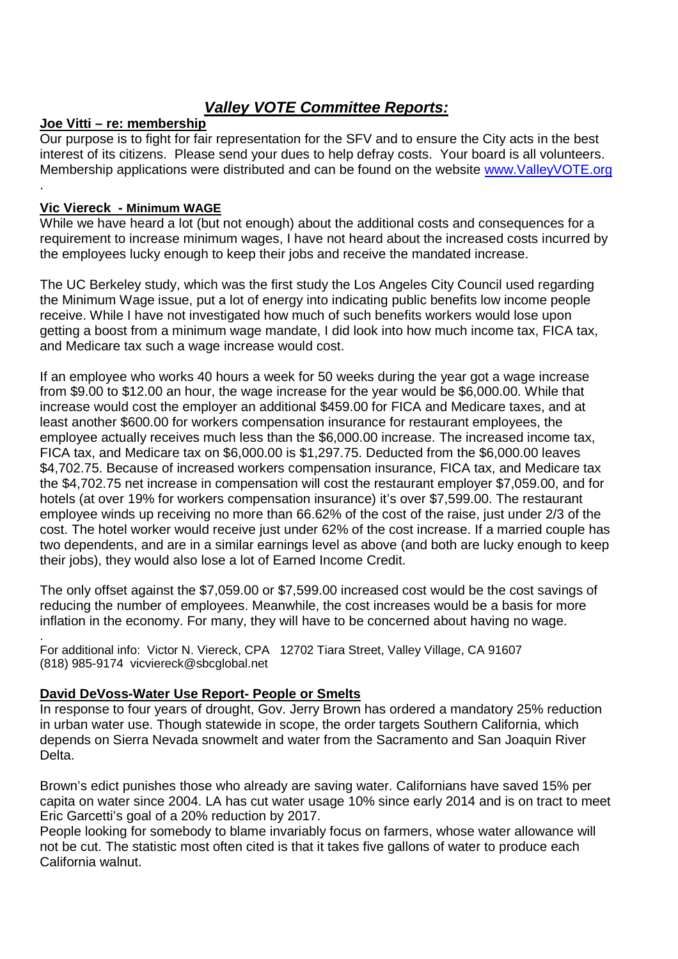# *Valley VOTE Committee Reports:*

## **Joe Vitti – re: membership**

Our purpose is to fight for fair representation for the SFV and to ensure the City acts in the best interest of its citizens. Please send your dues to help defray costs. Your board is all volunteers. Membership applications were distributed and can be found on the website www.ValleyVOTE.org .

#### **Vic Viereck - Minimum WAGE**

While we have heard a lot (but not enough) about the additional costs and consequences for a requirement to increase minimum wages, I have not heard about the increased costs incurred by the employees lucky enough to keep their jobs and receive the mandated increase.

The UC Berkeley study, which was the first study the Los Angeles City Council used regarding the Minimum Wage issue, put a lot of energy into indicating public benefits low income people receive. While I have not investigated how much of such benefits workers would lose upon getting a boost from a minimum wage mandate, I did look into how much income tax, FICA tax, and Medicare tax such a wage increase would cost.

If an employee who works 40 hours a week for 50 weeks during the year got a wage increase from \$9.00 to \$12.00 an hour, the wage increase for the year would be \$6,000.00. While that increase would cost the employer an additional \$459.00 for FICA and Medicare taxes, and at least another \$600.00 for workers compensation insurance for restaurant employees, the employee actually receives much less than the \$6,000.00 increase. The increased income tax, FICA tax, and Medicare tax on \$6,000.00 is \$1,297.75. Deducted from the \$6,000.00 leaves \$4,702.75. Because of increased workers compensation insurance, FICA tax, and Medicare tax the \$4,702.75 net increase in compensation will cost the restaurant employer \$7,059.00, and for hotels (at over 19% for workers compensation insurance) it's over \$7,599.00. The restaurant employee winds up receiving no more than 66.62% of the cost of the raise, just under 2/3 of the cost. The hotel worker would receive just under 62% of the cost increase. If a married couple has two dependents, and are in a similar earnings level as above (and both are lucky enough to keep their jobs), they would also lose a lot of Earned Income Credit.

The only offset against the \$7,059.00 or \$7,599.00 increased cost would be the cost savings of reducing the number of employees. Meanwhile, the cost increases would be a basis for more inflation in the economy. For many, they will have to be concerned about having no wage.

. For additional info: Victor N. Viereck, CPA 12702 Tiara Street, Valley Village, CA 91607 (818) 985-9174 vicviereck@sbcglobal.net

#### **David DeVoss-Water Use Report- People or Smelts**

In response to four years of drought, Gov. Jerry Brown has ordered a mandatory 25% reduction in urban water use. Though statewide in scope, the order targets Southern California, which depends on Sierra Nevada snowmelt and water from the Sacramento and San Joaquin River Delta.

Brown's edict punishes those who already are saving water. Californians have saved 15% per capita on water since 2004. LA has cut water usage 10% since early 2014 and is on tract to meet Eric Garcetti's goal of a 20% reduction by 2017.

People looking for somebody to blame invariably focus on farmers, whose water allowance will not be cut. The statistic most often cited is that it takes five gallons of water to produce each California walnut.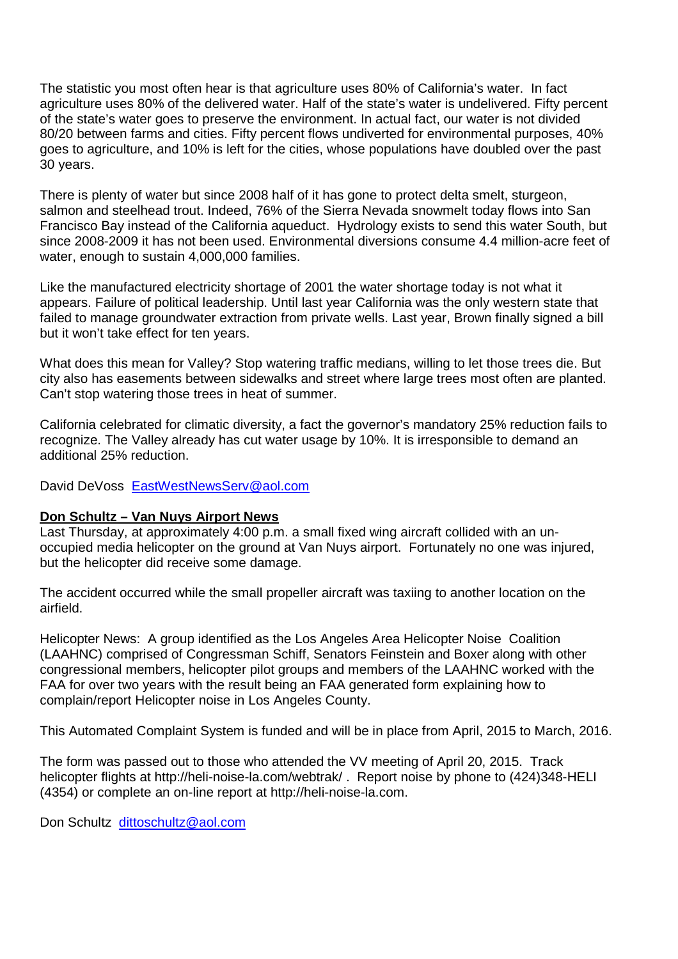The statistic you most often hear is that agriculture uses 80% of California's water. In fact agriculture uses 80% of the delivered water. Half of the state's water is undelivered. Fifty percent of the state's water goes to preserve the environment. In actual fact, our water is not divided 80/20 between farms and cities. Fifty percent flows undiverted for environmental purposes, 40% goes to agriculture, and 10% is left for the cities, whose populations have doubled over the past 30 years.

There is plenty of water but since 2008 half of it has gone to protect delta smelt, sturgeon, salmon and steelhead trout. Indeed, 76% of the Sierra Nevada snowmelt today flows into San Francisco Bay instead of the California aqueduct. Hydrology exists to send this water South, but since 2008-2009 it has not been used. Environmental diversions consume 4.4 million-acre feet of water, enough to sustain 4,000,000 families.

Like the manufactured electricity shortage of 2001 the water shortage today is not what it appears. Failure of political leadership. Until last year California was the only western state that failed to manage groundwater extraction from private wells. Last year, Brown finally signed a bill but it won't take effect for ten years.

What does this mean for Valley? Stop watering traffic medians, willing to let those trees die. But city also has easements between sidewalks and street where large trees most often are planted. Can't stop watering those trees in heat of summer.

California celebrated for climatic diversity, a fact the governor's mandatory 25% reduction fails to recognize. The Valley already has cut water usage by 10%. It is irresponsible to demand an additional 25% reduction.

David DeVoss EastWestNewsServ@aol.com

#### **Don Schultz – Van Nuys Airport News**

Last Thursday, at approximately 4:00 p.m. a small fixed wing aircraft collided with an unoccupied media helicopter on the ground at Van Nuys airport. Fortunately no one was injured, but the helicopter did receive some damage.

The accident occurred while the small propeller aircraft was taxiing to another location on the airfield.

Helicopter News: A group identified as the Los Angeles Area Helicopter Noise Coalition (LAAHNC) comprised of Congressman Schiff, Senators Feinstein and Boxer along with other congressional members, helicopter pilot groups and members of the LAAHNC worked with the FAA for over two years with the result being an FAA generated form explaining how to complain/report Helicopter noise in Los Angeles County.

This Automated Complaint System is funded and will be in place from April, 2015 to March, 2016.

The form was passed out to those who attended the VV meeting of April 20, 2015. Track helicopter flights at http://heli-noise-la.com/webtrak/ . Report noise by phone to (424)348-HELI (4354) or complete an on-line report at http://heli-noise-la.com.

Don Schultz dittoschultz@aol.com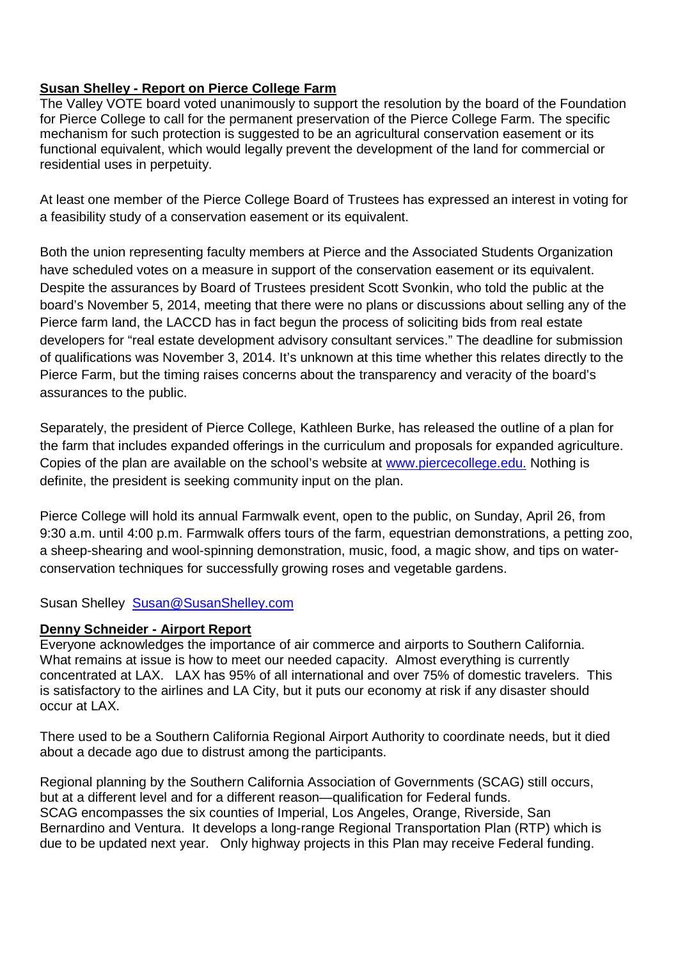### **Susan Shelley - Report on Pierce College Farm**

The Valley VOTE board voted unanimously to support the resolution by the board of the Foundation for Pierce College to call for the permanent preservation of the Pierce College Farm. The specific mechanism for such protection is suggested to be an agricultural conservation easement or its functional equivalent, which would legally prevent the development of the land for commercial or residential uses in perpetuity.

At least one member of the Pierce College Board of Trustees has expressed an interest in voting for a feasibility study of a conservation easement or its equivalent.

Both the union representing faculty members at Pierce and the Associated Students Organization have scheduled votes on a measure in support of the conservation easement or its equivalent. Despite the assurances by Board of Trustees president Scott Svonkin, who told the public at the board's November 5, 2014, meeting that there were no plans or discussions about selling any of the Pierce farm land, the LACCD has in fact begun the process of soliciting bids from real estate developers for "real estate development advisory consultant services." The deadline for submission of qualifications was November 3, 2014. It's unknown at this time whether this relates directly to the Pierce Farm, but the timing raises concerns about the transparency and veracity of the board's assurances to the public.

Separately, the president of Pierce College, Kathleen Burke, has released the outline of a plan for the farm that includes expanded offerings in the curriculum and proposals for expanded agriculture. Copies of the plan are available on the school's website at www.piercecollege.edu. Nothing is definite, the president is seeking community input on the plan.

Pierce College will hold its annual Farmwalk event, open to the public, on Sunday, April 26, from 9:30 a.m. until 4:00 p.m. Farmwalk offers tours of the farm, equestrian demonstrations, a petting zoo, a sheep-shearing and wool-spinning demonstration, music, food, a magic show, and tips on waterconservation techniques for successfully growing roses and vegetable gardens.

Susan Shelley Susan@SusanShelley.com

#### **Denny Schneider - Airport Report**

Everyone acknowledges the importance of air commerce and airports to Southern California. What remains at issue is how to meet our needed capacity. Almost everything is currently concentrated at LAX. LAX has 95% of all international and over 75% of domestic travelers. This is satisfactory to the airlines and LA City, but it puts our economy at risk if any disaster should occur at LAX.

There used to be a Southern California Regional Airport Authority to coordinate needs, but it died about a decade ago due to distrust among the participants.

Regional planning by the Southern California Association of Governments (SCAG) still occurs, but at a different level and for a different reason—qualification for Federal funds. SCAG encompasses the six counties of Imperial, Los Angeles, Orange, Riverside, San Bernardino and Ventura. It develops a long-range Regional Transportation Plan (RTP) which is due to be updated next year. Only highway projects in this Plan may receive Federal funding.